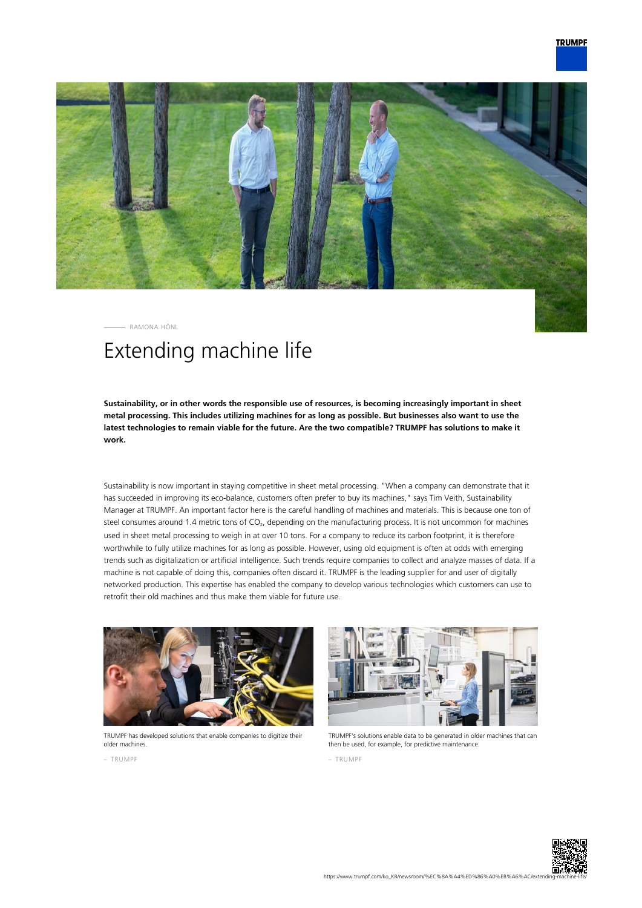

RAMONA HÖNL

# Extending machine life

**Sustainability, or in other words the responsible use of resources, is becoming increasingly important in sheet metal processing. This includes utilizing machines for as long as possible. But businesses also want to use the latest technologies to remain viable for the future. Are the two compatible? TRUMPF has solutions to make it work.**

Sustainability is now important in staying competitive in sheet metal processing. "When a company can demonstrate that it has succeeded in improving its eco-balance, customers often prefer to buy its machines," says Tim Veith, Sustainability Manager at TRUMPF. An important factor here is the careful handling of machines and materials. This is because one ton of steel consumes around 1.4 metric tons of CO<sub>2</sub>, depending on the manufacturing process. It is not uncommon for machines used in sheet metal processing to weigh in at over 10 tons. For a company to reduce its carbon footprint, it is therefore worthwhile to fully utilize machines for as long as possible. However, using old equipment is often at odds with emerging trends such as digitalization or artificial intelligence. Such trends require companies to collect and analyze masses of data. If a machine is not capable of doing this, companies often discard it. TRUMPF is the leading supplier for and user of digitally networked production. This expertise has enabled the company to develop various technologies which customers can use to retrofit their old machines and thus make them viable for future use.



TRUMPF has developed solutions that enable companies to digitize their older machines.



TRUMPF's solutions enable data to be generated in older machines that can then be used, for example, for predictive maintenance.

– TRUMPF

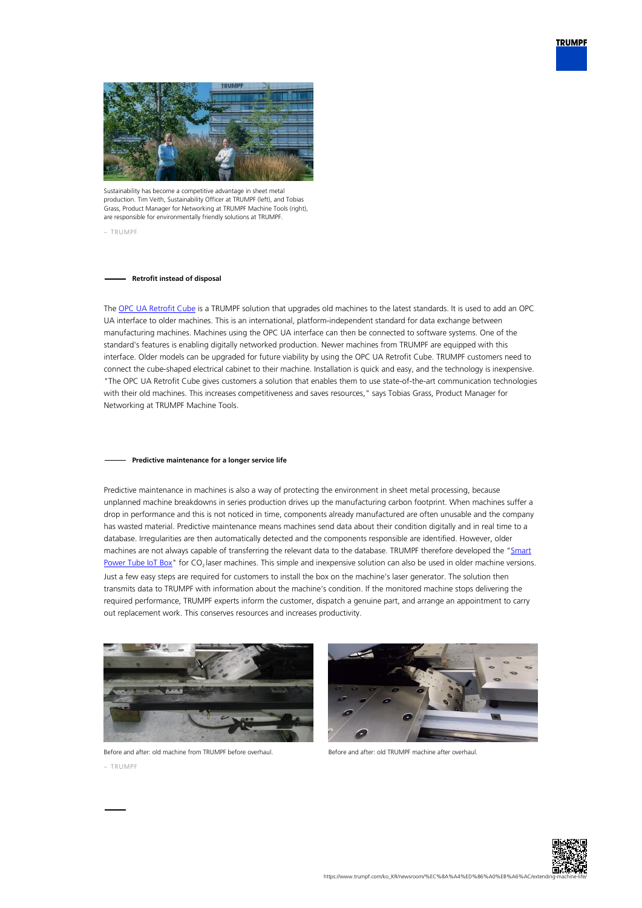



Sustainability has become a competitive advantage in sheet metal production. Tim Veith, Sustainability Officer at TRUMPF (left), and Tobias Grass, Product Manager for Networking at TRUMPF Machine Tools (right), are responsible for environmentally friendly solutions at TRUMPF.

– TRUMPF

## **Retrofit instead of disposal**

The [OPC UA Retrofit Cube](https://www.trumpf.com/en_INT/products/services/services-machines-systems-and-lasers/monitoring-analysis/connectivity/) is a TRUMPF solution that upgrades old machines to the latest standards. It is used to add an OPC UA interface to older machines. This is an international, platform-independent standard for data exchange between manufacturing machines. Machines using the OPC UA interface can then be connected to software systems. One of the standard's features is enabling digitally networked production. Newer machines from TRUMPF are equipped with this interface. Older models can be upgraded for future viability by using the OPC UA Retrofit Cube. TRUMPF customers need to connect the cube-shaped electrical cabinet to their machine. Installation is quick and easy, and the technology is inexpensive. "The OPC UA Retrofit Cube gives customers a solution that enables them to use state-of-the-art communication technologies with their old machines. This increases competitiveness and saves resources," says Tobias Grass, Product Manager for Networking at TRUMPF Machine Tools.

#### **Predictive maintenance for a longer service life**

Predictive maintenance in machines is also a way of protecting the environment in sheet metal processing, because unplanned machine breakdowns in series production drives up the manufacturing carbon footprint. When machines suffer a drop in performance and this is not noticed in time, components already manufactured are often unusable and the company has wasted material. Predictive maintenance means machines send data about their condition digitally and in real time to a database. Irregularities are then automatically detected and the components responsible are identified. However, older machines are not always capable of transferring the relevant data to the database. TRUMPF therefore developed the "[Smart](https://www.trumpf.com/en_INT/products/services/services-machines-systems-and-lasers/genuine-parts/smart-power-tube/) [Power Tube IoT Box"](https://www.trumpf.com/en_INT/products/services/services-machines-systems-and-lasers/genuine-parts/smart-power-tube/) for  $CO<sub>2</sub>$  laser machines. This simple and inexpensive solution can also be used in older machine versions. Just a few easy steps are required for customers to install the box on the machine's laser generator. The solution then transmits data to TRUMPF with information about the machine's condition. If the monitored machine stops delivering the required performance, TRUMPF experts inform the customer, dispatch a genuine part, and arrange an appointment to carry out replacement work. This conserves resources and increases productivity.



Before and after: old machine from TRUMPF before overhaul. – TRUMPF



Before and after: old TRUMPF machine after overhaul.